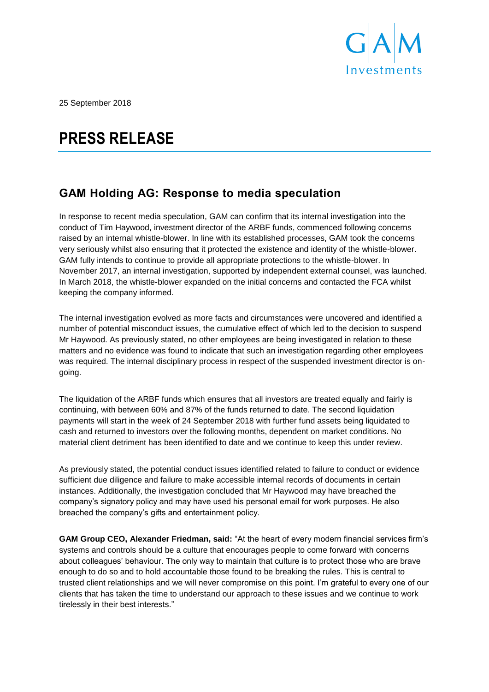

25 September 2018

# **PRESS RELEASE**

## **GAM Holding AG: Response to media speculation**

In response to recent media speculation, GAM can confirm that its internal investigation into the conduct of Tim Haywood, investment director of the ARBF funds, commenced following concerns raised by an internal whistle-blower. In line with its established processes, GAM took the concerns very seriously whilst also ensuring that it protected the existence and identity of the whistle-blower. GAM fully intends to continue to provide all appropriate protections to the whistle-blower. In November 2017, an internal investigation, supported by independent external counsel, was launched. In March 2018, the whistle-blower expanded on the initial concerns and contacted the FCA whilst keeping the company informed.

The internal investigation evolved as more facts and circumstances were uncovered and identified a number of potential misconduct issues, the cumulative effect of which led to the decision to suspend Mr Haywood. As previously stated, no other employees are being investigated in relation to these matters and no evidence was found to indicate that such an investigation regarding other employees was required. The internal disciplinary process in respect of the suspended investment director is ongoing.

The liquidation of the ARBF funds which ensures that all investors are treated equally and fairly is continuing, with between 60% and 87% of the funds returned to date. The second liquidation payments will start in the week of 24 September 2018 with further fund assets being liquidated to cash and returned to investors over the following months, dependent on market conditions. No material client detriment has been identified to date and we continue to keep this under review.

As previously stated, the potential conduct issues identified related to failure to conduct or evidence sufficient due diligence and failure to make accessible internal records of documents in certain instances. Additionally, the investigation concluded that Mr Haywood may have breached the company's signatory policy and may have used his personal email for work purposes. He also breached the company's gifts and entertainment policy.

**GAM Group CEO, Alexander Friedman, said:** "At the heart of every modern financial services firm's systems and controls should be a culture that encourages people to come forward with concerns about colleagues' behaviour. The only way to maintain that culture is to protect those who are brave enough to do so and to hold accountable those found to be breaking the rules. This is central to trusted client relationships and we will never compromise on this point. I'm grateful to every one of our clients that has taken the time to understand our approach to these issues and we continue to work tirelessly in their best interests."